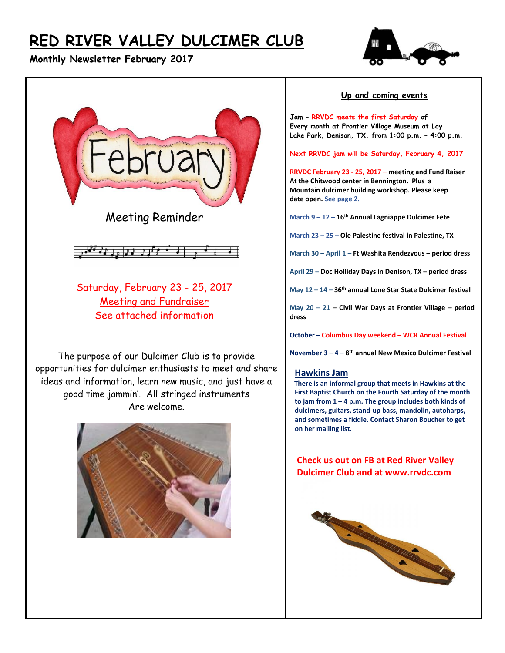# **RED RIVER VALLEY DULCIMER CLUB**

## **Monthly Newsletter February 2017**





Meeting Reminder



Saturday, February 23 - 25, 2017 Meeting and Fundraiser See attached information

The purpose of our Dulcimer Club is to provide opportunities for dulcimer enthusiasts to meet and share ideas and information, learn new music, and just have a good time jammin'. All stringed instruments Are welcome.



#### **Up and coming events**

**Jam – RRVDC meets the first Saturday of Every month at Frontier Village Museum at Loy Lake Park, Denison, TX. from 1:00 p.m. – 4:00 p.m.**

**Next RRVDC jam will be Saturday, February 4, 2017**

**RRVDC February 23 - 25, 2017 – meeting and Fund Raiser At the Chitwood center in Bennington. Plus a Mountain dulcimer building workshop. Please keep date open. See page 2.**

**March 9 – 12 – 16th Annual Lagniappe Dulcimer Fete**

**March 23 – 25 – Ole Palestine festival in Palestine, TX**

**March 30 – April 1 – Ft Washita Rendezvous – period dress**

**April 29 – Doc Holliday Days in Denison, TX – period dress**

**May 12 – 14 – 36th annual Lone Star State Dulcimer festival**

**May 20 – 21 – Civil War Days at Frontier Village – period dress**

**October – Columbus Day weekend – WCR Annual Festival**

**November 3 – 4 – 8 th annual New Mexico Dulcimer Festival**

#### **Hawkins Jam**

 **There is an informal group that meets in Hawkins at the First Baptist Church on the Fourth Saturday of the month to jam from 1 – 4 p.m. The group includes both kinds of dulcimers, guitars, stand-up bass, mandolin, autoharps, and sometimes a fiddle. Contact Sharon Boucher to get on her mailing list.** 

 **Check us out on FB at Red River Valley Dulcimer Club and at www.rrvdc.com**